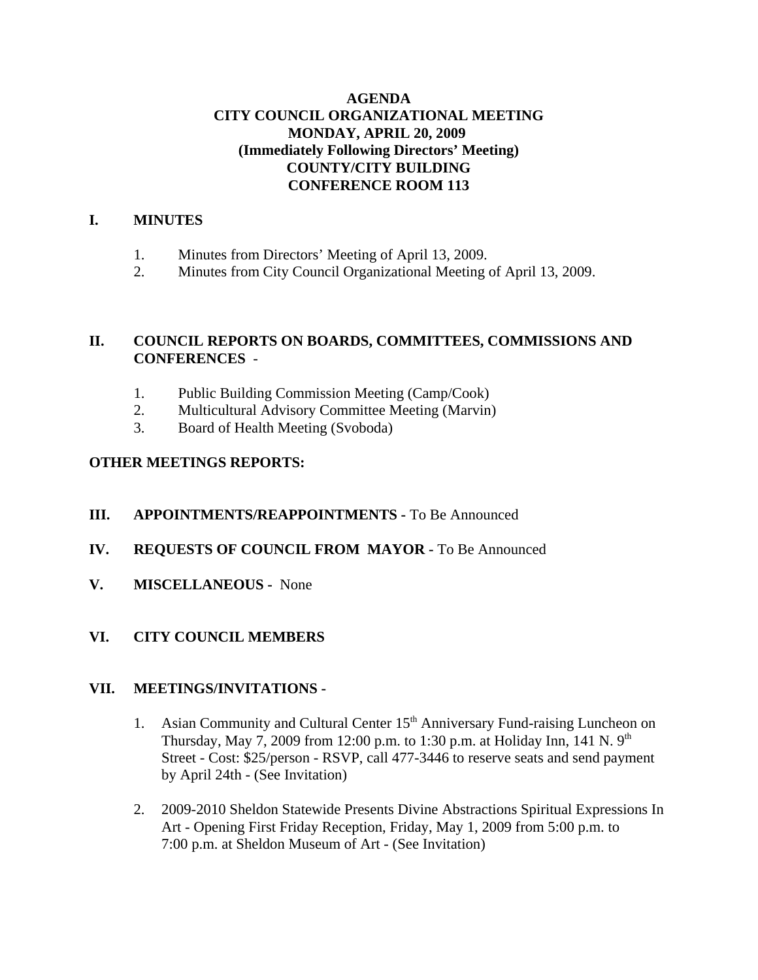## **AGENDA CITY COUNCIL ORGANIZATIONAL MEETING MONDAY, APRIL 20, 2009 (Immediately Following Directors' Meeting) COUNTY/CITY BUILDING CONFERENCE ROOM 113**

# **I. MINUTES**

- 1. Minutes from Directors' Meeting of April 13, 2009.
- 2. Minutes from City Council Organizational Meeting of April 13, 2009.

# **II. COUNCIL REPORTS ON BOARDS, COMMITTEES, COMMISSIONS AND CONFERENCES** -

- 1. Public Building Commission Meeting (Camp/Cook)
- 2. Multicultural Advisory Committee Meeting (Marvin)
- 3. Board of Health Meeting (Svoboda)

## **OTHER MEETINGS REPORTS:**

- **III. APPOINTMENTS/REAPPOINTMENTS -** To Be Announced
- **IV. REQUESTS OF COUNCIL FROM MAYOR -** To Be Announced
- **V. MISCELLANEOUS -** None

## **VI. CITY COUNCIL MEMBERS**

#### **VII. MEETINGS/INVITATIONS -**

- 1. Asian Community and Cultural Center 15<sup>th</sup> Anniversary Fund-raising Luncheon on Thursday, May 7, 2009 from 12:00 p.m. to 1:30 p.m. at Holiday Inn, 141 N.  $9<sup>th</sup>$ Street - Cost: \$25/person - RSVP, call 477-3446 to reserve seats and send payment by April 24th - (See Invitation)
- 2. 2009-2010 Sheldon Statewide Presents Divine Abstractions Spiritual Expressions In Art - Opening First Friday Reception, Friday, May 1, 2009 from 5:00 p.m. to 7:00 p.m. at Sheldon Museum of Art - (See Invitation)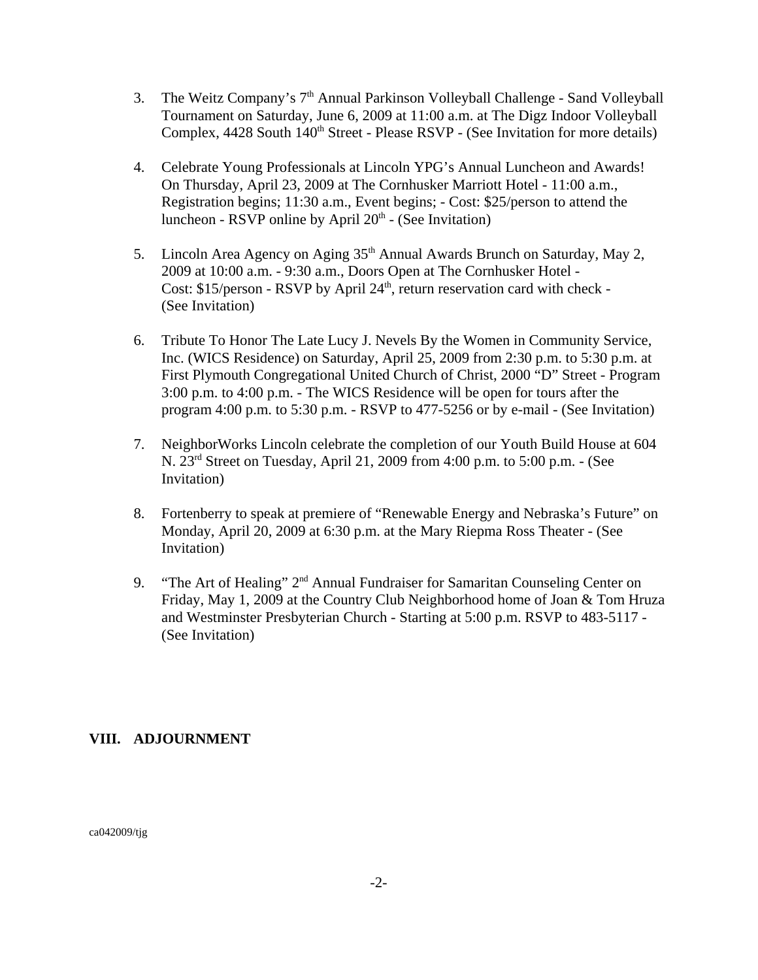- 3. The Weitz Company's  $7<sup>th</sup>$  Annual Parkinson Volleyball Challenge Sand Volleyball Tournament on Saturday, June 6, 2009 at 11:00 a.m. at The Digz Indoor Volleyball Complex, 4428 South 140<sup>th</sup> Street - Please RSVP - (See Invitation for more details)
- 4. Celebrate Young Professionals at Lincoln YPG's Annual Luncheon and Awards! On Thursday, April 23, 2009 at The Cornhusker Marriott Hotel - 11:00 a.m., Registration begins; 11:30 a.m., Event begins; - Cost: \$25/person to attend the luncheon - RSVP online by April  $20<sup>th</sup>$  - (See Invitation)
- 5. Lincoln Area Agency on Aging 35<sup>th</sup> Annual Awards Brunch on Saturday, May 2, 2009 at 10:00 a.m. - 9:30 a.m., Doors Open at The Cornhusker Hotel - Cost: \$15/person - RSVP by April 24<sup>th</sup>, return reservation card with check -(See Invitation)
- 6. Tribute To Honor The Late Lucy J. Nevels By the Women in Community Service, Inc. (WICS Residence) on Saturday, April 25, 2009 from 2:30 p.m. to 5:30 p.m. at First Plymouth Congregational United Church of Christ, 2000 "D" Street - Program 3:00 p.m. to 4:00 p.m. - The WICS Residence will be open for tours after the program 4:00 p.m. to 5:30 p.m. - RSVP to 477-5256 or by e-mail - (See Invitation)
- 7. NeighborWorks Lincoln celebrate the completion of our Youth Build House at 604 N. 23rd Street on Tuesday, April 21, 2009 from 4:00 p.m. to 5:00 p.m. - (See Invitation)
- 8. Fortenberry to speak at premiere of "Renewable Energy and Nebraska's Future" on Monday, April 20, 2009 at 6:30 p.m. at the Mary Riepma Ross Theater - (See Invitation)
- 9. "The Art of Healing" 2<sup>nd</sup> Annual Fundraiser for Samaritan Counseling Center on Friday, May 1, 2009 at the Country Club Neighborhood home of Joan & Tom Hruza and Westminster Presbyterian Church - Starting at 5:00 p.m. RSVP to 483-5117 - (See Invitation)

## **VIII. ADJOURNMENT**

ca042009/tjg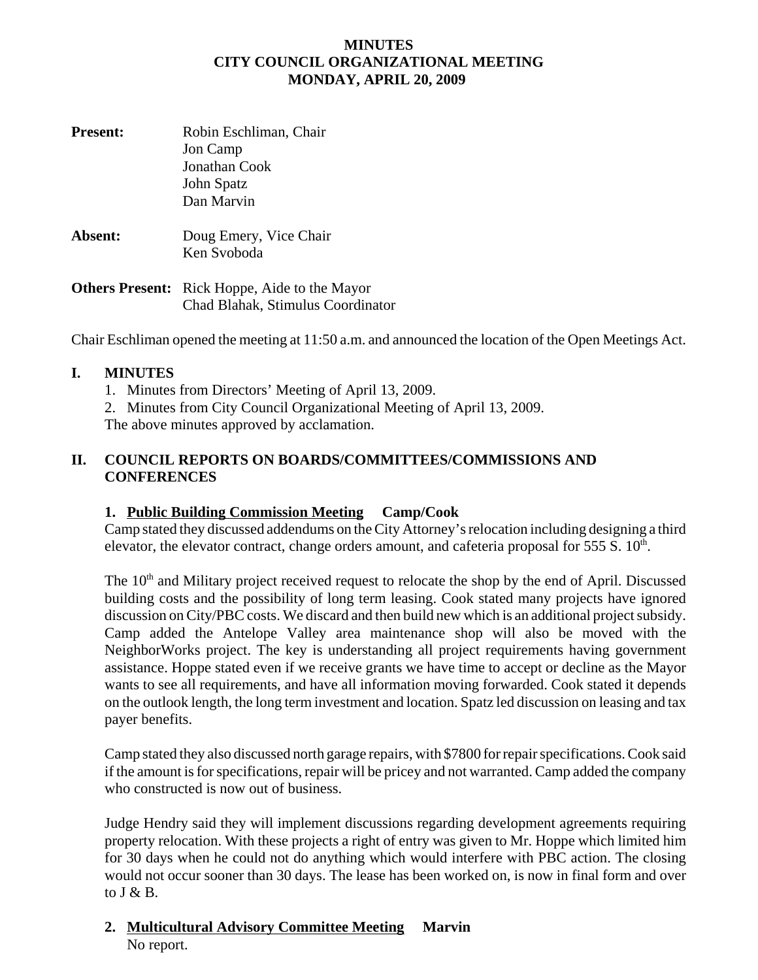#### **MINUTES CITY COUNCIL ORGANIZATIONAL MEETING MONDAY, APRIL 20, 2009**

**Present:** Robin Eschliman, Chair Jon Camp Jonathan Cook John Spatz Dan Marvin **Absent:** Doug Emery, Vice Chair Ken Svoboda **Others Present:** Rick Hoppe, Aide to the Mayor

Chad Blahak, Stimulus Coordinator

Chair Eschliman opened the meeting at 11:50 a.m. and announced the location of the Open Meetings Act.

#### **I. MINUTES**

1. Minutes from Directors' Meeting of April 13, 2009.

2. Minutes from City Council Organizational Meeting of April 13, 2009.

The above minutes approved by acclamation.

## **II. COUNCIL REPORTS ON BOARDS/COMMITTEES/COMMISSIONS AND CONFERENCES**

## **1. Public Building Commission Meeting Camp/Cook**

Camp stated they discussed addendums on the City Attorney's relocation including designing a third elevator, the elevator contract, change orders amount, and cafeteria proposal for  $555 S$ .  $10<sup>th</sup>$ .

The 10<sup>th</sup> and Military project received request to relocate the shop by the end of April. Discussed building costs and the possibility of long term leasing. Cook stated many projects have ignored discussion on City/PBC costs. We discard and then build new which is an additional project subsidy. Camp added the Antelope Valley area maintenance shop will also be moved with the NeighborWorks project. The key is understanding all project requirements having government assistance. Hoppe stated even if we receive grants we have time to accept or decline as the Mayor wants to see all requirements, and have all information moving forwarded. Cook stated it depends on the outlook length, the long term investment and location. Spatz led discussion on leasing and tax payer benefits.

Camp stated they also discussed north garage repairs, with \$7800 for repair specifications. Cook said if the amount is for specifications, repair will be pricey and not warranted. Camp added the company who constructed is now out of business.

Judge Hendry said they will implement discussions regarding development agreements requiring property relocation. With these projects a right of entry was given to Mr. Hoppe which limited him for 30 days when he could not do anything which would interfere with PBC action. The closing would not occur sooner than 30 days. The lease has been worked on, is now in final form and over to  $J & B$ .

## **2. Multicultural Advisory Committee Meeting Marvin** No report.